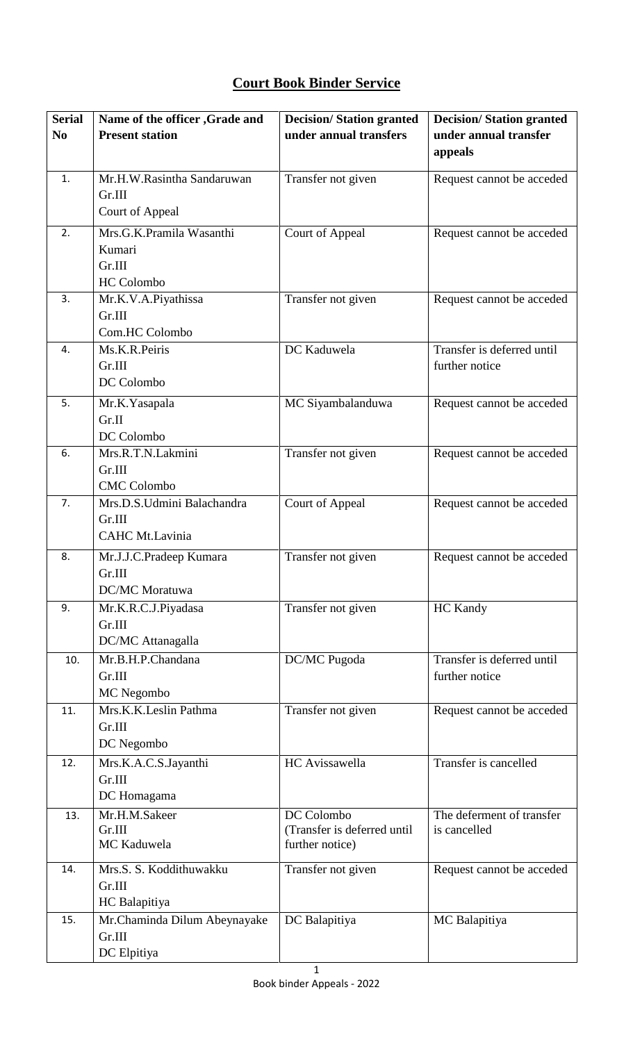## **Court Book Binder Service**

| <b>Serial</b>  | Name of the officer , Grade and | <b>Decision/Station granted</b>                | <b>Decision/Station granted</b> |
|----------------|---------------------------------|------------------------------------------------|---------------------------------|
| N <sub>0</sub> | <b>Present station</b>          | under annual transfers                         | under annual transfer           |
|                |                                 |                                                | appeals                         |
| 1.             | Mr.H.W.Rasintha Sandaruwan      | Transfer not given                             | Request cannot be acceded       |
|                | Gr.III                          |                                                |                                 |
|                | Court of Appeal                 |                                                |                                 |
|                |                                 |                                                |                                 |
| 2.             | Mrs.G.K.Pramila Wasanthi        | Court of Appeal                                | Request cannot be acceded       |
|                | Kumari                          |                                                |                                 |
|                | Gr.III<br><b>HC</b> Colombo     |                                                |                                 |
| 3.             | Mr.K.V.A.Piyathissa             | Transfer not given                             | Request cannot be acceded       |
|                | Gr.III                          |                                                |                                 |
|                | Com.HC Colombo                  |                                                |                                 |
| 4.             | Ms.K.R.Peiris                   | DC Kaduwela                                    | Transfer is deferred until      |
|                | Gr.III                          |                                                | further notice                  |
|                | DC Colombo                      |                                                |                                 |
| 5.             | Mr.K.Yasapala                   | MC Siyambalanduwa                              | Request cannot be acceded       |
|                | Gr.II                           |                                                |                                 |
|                | DC Colombo                      |                                                |                                 |
| 6.             | Mrs.R.T.N.Lakmini               | Transfer not given                             | Request cannot be acceded       |
|                | Gr.III                          |                                                |                                 |
|                | <b>CMC</b> Colombo              |                                                |                                 |
| 7.             | Mrs.D.S.Udmini Balachandra      | <b>Court of Appeal</b>                         | Request cannot be acceded       |
|                | Gr.III                          |                                                |                                 |
|                | CAHC Mt.Lavinia                 |                                                |                                 |
| 8.             | Mr.J.J.C.Pradeep Kumara         | Transfer not given                             | Request cannot be acceded       |
|                | Gr.III                          |                                                |                                 |
|                | <b>DC/MC</b> Moratuwa           |                                                |                                 |
| 9.             | Mr.K.R.C.J.Piyadasa             | Transfer not given                             | <b>HC Kandy</b>                 |
|                | Gr.III                          |                                                |                                 |
|                | DC/MC Attanagalla               |                                                |                                 |
| 10.            | Mr.B.H.P.Chandana               | DC/MC Pugoda                                   | Transfer is deferred until      |
|                | Gr.III                          |                                                | further notice                  |
|                | MC Negombo                      |                                                |                                 |
| 11.            | Mrs.K.K.Leslin Pathma           | Transfer not given                             | Request cannot be acceded       |
|                | Gr.III                          |                                                |                                 |
|                | DC Negombo                      |                                                |                                 |
| 12.            | Mrs.K.A.C.S.Jayanthi            | HC Avissawella                                 | Transfer is cancelled           |
|                | Gr.III                          |                                                |                                 |
|                | DC Homagama                     |                                                |                                 |
| 13.            | Mr.H.M.Sakeer                   | DC Colombo                                     | The deferment of transfer       |
|                | Gr.III<br>MC Kaduwela           | (Transfer is deferred until<br>further notice) | is cancelled                    |
|                |                                 |                                                |                                 |
| 14.            | Mrs.S. S. Koddithuwakku         | Transfer not given                             | Request cannot be acceded       |
|                | Gr.III                          |                                                |                                 |
|                | HC Balapitiya                   |                                                |                                 |
| 15.            | Mr.Chaminda Dilum Abeynayake    | DC Balapitiya                                  | MC Balapitiya                   |
|                | Gr.III                          |                                                |                                 |
|                | DC Elpitiya                     |                                                |                                 |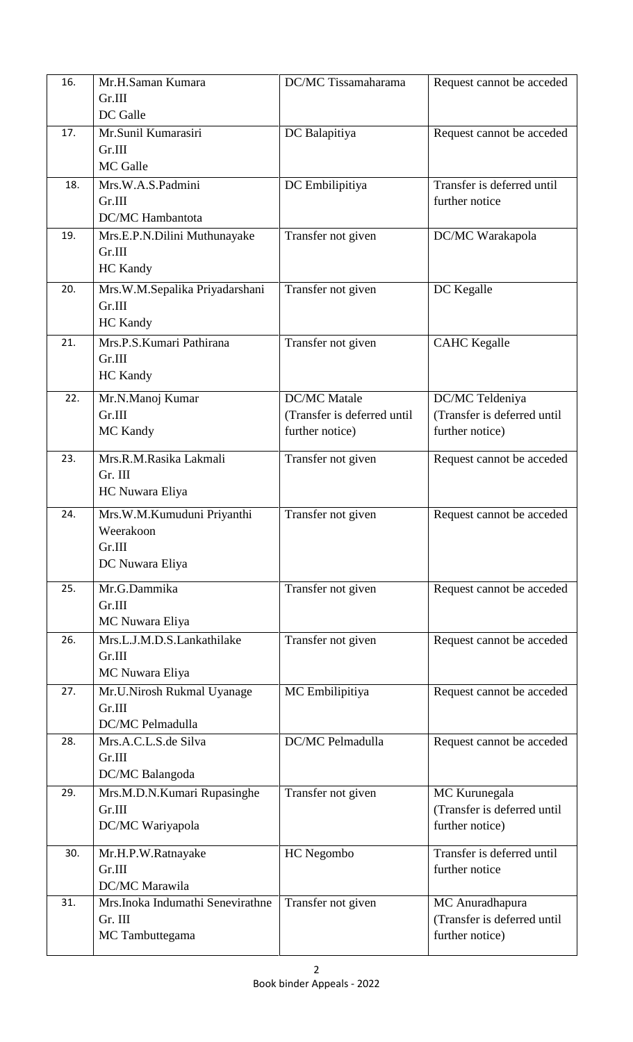| 16. | Mr.H.Saman Kumara<br>Gr.III<br>DC Galle                              | <b>DC/MC</b> Tissamaharama                                            | Request cannot be acceded                                         |
|-----|----------------------------------------------------------------------|-----------------------------------------------------------------------|-------------------------------------------------------------------|
| 17. | Mr.Sunil Kumarasiri<br>Gr.III<br>MC Galle                            | DC Balapitiya                                                         | Request cannot be acceded                                         |
| 18. | Mrs.W.A.S.Padmini<br>Gr.III<br><b>DC/MC</b> Hambantota               | DC Embilipitiya                                                       | Transfer is deferred until<br>further notice                      |
| 19. | Mrs.E.P.N.Dilini Muthunayake<br>Gr.III<br><b>HC</b> Kandy            | Transfer not given                                                    | DC/MC Warakapola                                                  |
| 20. | Mrs.W.M.Sepalika Priyadarshani<br>Gr.III<br><b>HC</b> Kandy          | Transfer not given                                                    | DC Kegalle                                                        |
| 21. | Mrs.P.S.Kumari Pathirana<br>Gr.III<br><b>HC</b> Kandy                | Transfer not given                                                    | <b>CAHC</b> Kegalle                                               |
| 22. | Mr.N.Manoj Kumar<br>Gr.III<br>MC Kandy                               | <b>DC/MC</b> Matale<br>(Transfer is deferred until<br>further notice) | DC/MC Teldeniya<br>(Transfer is deferred until<br>further notice) |
| 23. | Mrs.R.M.Rasika Lakmali<br>Gr. III<br>HC Nuwara Eliya                 | Transfer not given                                                    | Request cannot be acceded                                         |
| 24. | Mrs.W.M.Kumuduni Priyanthi<br>Weerakoon<br>Gr.III<br>DC Nuwara Eliya | Transfer not given                                                    | Request cannot be acceded                                         |
| 25. | Mr.G.Dammika<br>Gr.III<br>MC Nuwara Eliya                            | Transfer not given                                                    | Request cannot be acceded                                         |
| 26. | Mrs.L.J.M.D.S.Lankathilake<br>Gr.III<br>MC Nuwara Eliya              | Transfer not given                                                    | Request cannot be acceded                                         |
| 27. | Mr.U.Nirosh Rukmal Uyanage<br>Gr.III<br>DC/MC Pelmadulla             | MC Embilipitiya                                                       | Request cannot be acceded                                         |
| 28. | Mrs.A.C.L.S.de Silva<br>Gr.III<br>DC/MC Balangoda                    | <b>DC/MC Pelmadulla</b>                                               | Request cannot be acceded                                         |
| 29. | Mrs.M.D.N.Kumari Rupasinghe<br>Gr.III<br>DC/MC Wariyapola            | Transfer not given                                                    | MC Kurunegala<br>(Transfer is deferred until<br>further notice)   |
| 30. | Mr.H.P.W.Ratnayake<br>Gr.III<br>DC/MC Marawila                       | HC Negombo                                                            | Transfer is deferred until<br>further notice                      |
| 31. | Mrs.Inoka Indumathi Senevirathne<br>Gr. III<br>MC Tambuttegama       | Transfer not given                                                    | MC Anuradhapura<br>(Transfer is deferred until<br>further notice) |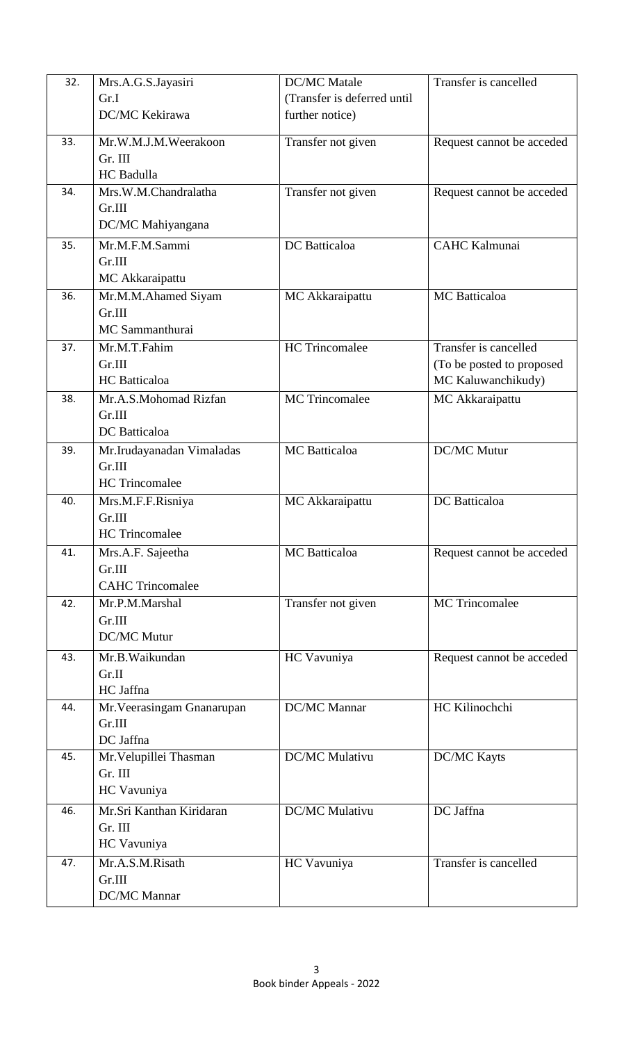| 32. | Mrs.A.G.S.Jayasiri                   | <b>DC/MC</b> Matale         | Transfer is cancelled       |
|-----|--------------------------------------|-----------------------------|-----------------------------|
|     | Gr.I                                 | (Transfer is deferred until |                             |
|     | DC/MC Kekirawa                       | further notice)             |                             |
|     |                                      |                             |                             |
| 33. | Mr.W.M.J.M.Weerakoon                 | Transfer not given          | Request cannot be acceded   |
|     | Gr. III                              |                             |                             |
|     | HC Badulla                           |                             |                             |
| 34. | Mrs.W.M.Chandralatha                 | Transfer not given          | Request cannot be acceded   |
|     | Gr.III                               |                             |                             |
|     | DC/MC Mahiyangana                    |                             |                             |
| 35. | Mr.M.F.M.Sammi                       | DC Batticaloa               | <b>CAHC Kalmunai</b>        |
|     | Gr.III                               |                             |                             |
|     | MC Akkaraipattu                      |                             |                             |
| 36. | Mr.M.M.Ahamed Siyam                  | MC Akkaraipattu             | <b>MC</b> Batticaloa        |
|     | Gr.III                               |                             |                             |
|     | MC Sammanthurai                      |                             |                             |
| 37. | Mr.M.T.Fahim                         | <b>HC</b> Trincomalee       | Transfer is cancelled       |
|     | Gr.III                               |                             | (To be posted to proposed   |
|     | <b>HC</b> Batticaloa                 |                             | MC Kaluwanchikudy)          |
| 38. | Mr.A.S.Mohomad Rizfan                | MC Trincomalee              | MC Akkaraipattu             |
|     | Gr.III                               |                             |                             |
|     | DC Batticaloa                        |                             |                             |
| 39. | Mr.Irudayanadan Vimaladas            | MC Batticaloa               | <b>DC/MC Mutur</b>          |
|     | Gr.III                               |                             |                             |
|     | <b>HC</b> Trincomalee                |                             |                             |
| 40. | Mrs.M.F.F.Risniya                    | MC Akkaraipattu             | DC Batticaloa               |
|     | Gr.III                               |                             |                             |
|     | <b>HC</b> Trincomalee                |                             |                             |
| 41. | Mrs.A.F. Sajeetha                    | <b>MC</b> Batticaloa        | Request cannot be acceded   |
|     | Gr.III<br><b>CAHC Trincomalee</b>    |                             |                             |
| 42. |                                      |                             | $\overline{MC}$ Trincomalee |
|     | Mr.P.M.Marshal                       | Transfer not given          |                             |
|     | Gr.III<br><b>DC/MC Mutur</b>         |                             |                             |
|     |                                      |                             |                             |
| 43. | Mr.B.Waikundan                       | HC Vavuniya                 | Request cannot be acceded   |
|     | Gr.II                                |                             |                             |
|     | HC Jaffna                            | DC/MC Mannar                | HC Kilinochchi              |
| 44. | Mr. Veerasingam Gnanarupan<br>Gr.III |                             |                             |
|     | DC Jaffna                            |                             |                             |
| 45. | Mr. Velupillei Thasman               | DC/MC Mulativu              | <b>DC/MC Kayts</b>          |
|     | Gr. III                              |                             |                             |
|     | HC Vavuniya                          |                             |                             |
|     |                                      |                             |                             |
| 46. | Mr.Sri Kanthan Kiridaran             | DC/MC Mulativu              | DC Jaffna                   |
|     | Gr. III                              |                             |                             |
|     | HC Vavuniya                          |                             |                             |
| 47. | Mr.A.S.M.Risath                      | HC Vavuniya                 | Transfer is cancelled       |
|     | Gr.III<br>DC/MC Mannar               |                             |                             |
|     |                                      |                             |                             |